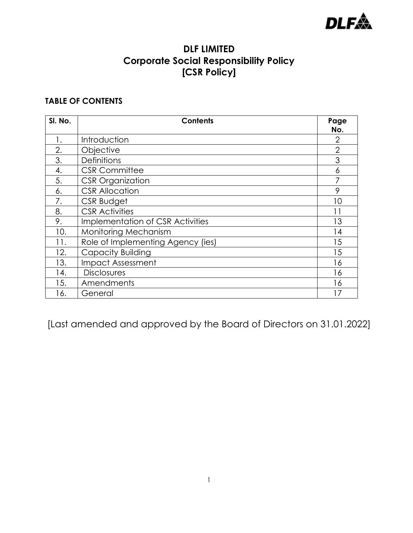

## **DLF LIMITED Corporate Social Responsibility Policy [CSR Policy]**

## **TABLE OF CONTENTS**

| SI. No. | <b>Contents</b>                   | Page<br>No.    |
|---------|-----------------------------------|----------------|
| 1.      | Introduction                      | $\overline{2}$ |
| 2.      | Objective                         | $\overline{2}$ |
| 3.      | <b>Definitions</b>                | 3              |
| 4.      | <b>CSR Committee</b>              | 6              |
| 5.      | <b>CSR</b> Organization           |                |
| 6.      | <b>CSR Allocation</b>             | 9              |
| 7.      | CSR Budget                        | 10             |
| 8.      | <b>CSR Activities</b>             | 11             |
| 9.      | Implementation of CSR Activities  | 13             |
| 10.     | Monitoring Mechanism              | 14             |
| 11.     | Role of Implementing Agency (ies) | 15             |
| 12.     | Capacity Building                 | 15             |
| 13.     | <b>Impact Assessment</b>          | 16             |
| 14.     | <b>Disclosures</b>                | 16             |
| 15.     | Amendments                        | 16             |
| 16.     | General                           | 17             |

[Last amended and approved by the Board of Directors on 31.01.2022]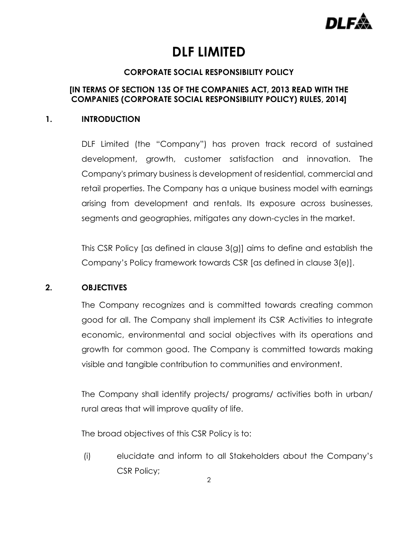

# **DLF LIMITED**

## **CORPORATE SOCIAL RESPONSIBILITY POLICY**

## **[IN TERMS OF SECTION 135 OF THE COMPANIES ACT, 2013 READ WITH THE COMPANIES (CORPORATE SOCIAL RESPONSIBILITY POLICY) RULES, 2014]**

#### **1. INTRODUCTION**

DLF Limited (the "Company") has proven track record of sustained development, growth, customer satisfaction and innovation. The Company's primary business is development of residential, commercial and retail properties. The Company has a unique business model with earnings arising from development and rentals. Its exposure across businesses, segments and geographies, mitigates any down-cycles in the market.

This CSR Policy [as defined in clause 3(g)] aims to define and establish the Company's Policy framework towards CSR [as defined in clause 3(e)].

## **2. OBJECTIVES**

The Company recognizes and is committed towards creating common good for all. The Company shall implement its CSR Activities to integrate economic, environmental and social objectives with its operations and growth for common good. The Company is committed towards making visible and tangible contribution to communities and environment.

The Company shall identify projects/ programs/ activities both in urban/ rural areas that will improve quality of life.

The broad objectives of this CSR Policy is to:

(i) elucidate and inform to all Stakeholders about the Company's CSR Policy;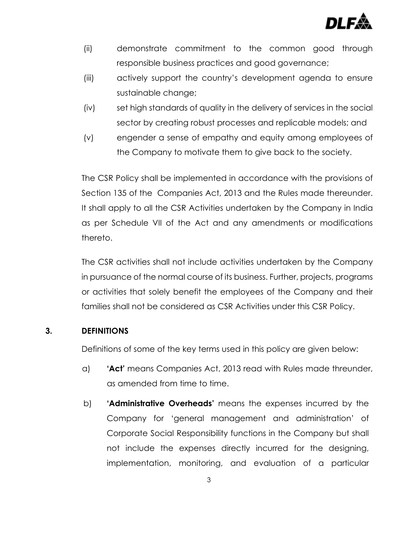

- (ii) demonstrate commitment to the common good through responsible business practices and good governance;
- (iii) actively support the country's development agenda to ensure sustainable change;
- (iv) set high standards of quality in the delivery of services in the social sector by creating robust processes and replicable models; and
- (v) engender a sense of empathy and equity among employees of the Company to motivate them to give back to the society.

The CSR Policy shall be implemented in accordance with the provisions of Section 135 of the Companies Act, 2013 and the Rules made thereunder. It shall apply to all the CSR Activities undertaken by the Company in India as per Schedule VII of the Act and any amendments or modifications thereto.

The CSR activities shall not include activities undertaken by the Company in pursuance of the normal course of its business. Further, projects, programs or activities that solely benefit the employees of the Company and their families shall not be considered as CSR Activities under this CSR Policy.

## **3. DEFINITIONS**

Definitions of some of the key terms used in this policy are given below:

- a) **'Act'** means Companies Act, 2013 read with Rules made threunder, as amended from time to time.
- b) **'Administrative Overheads'** means the expenses incurred by the Company for 'general management and administration' of Corporate Social Responsibility functions in the Company but shall not include the expenses directly incurred for the designing, implementation, monitoring, and evaluation of a particular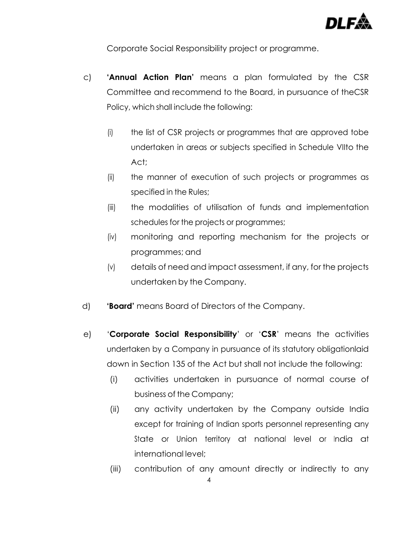

Corporate Social Responsibility project or programme.

- c) **'Annual Action Plan'** means a plan formulated by the CSR Committee and recommend to the Board, in pursuance of theCSR Policy, which shall include the following:
	- (i) the list of CSR projects or programmes that are approved tobe undertaken in areas or subjects specified in Schedule VIIto the Act;
	- (ii) the manner of execution of such projects or programmes as specified in the Rules;
	- (iii) the modalities of utilisation of funds and implementation schedules for the projects or programmes;
	- (iv) monitoring and reporting mechanism for the projects or programmes; and
	- (v) details of need and impact assessment, if any, for the projects undertaken by the Company.
- d) **'Board'** means Board of Directors of the Company.
- e) '**Corporate Social Responsibility**' or '**CSR**' means the activities undertaken by a Company in pursuance of its statutory obligationlaid down in Section 135 of the Act but shall not include the following:
	- (i) activities undertaken in pursuance of normal course of business of the Company;
	- (ii) any activity undertaken by the Company outside India except for training of Indian sports personnel representing any State or Union territory at national level or India at international level;
	- (iii) contribution of any amount directly or indirectly to any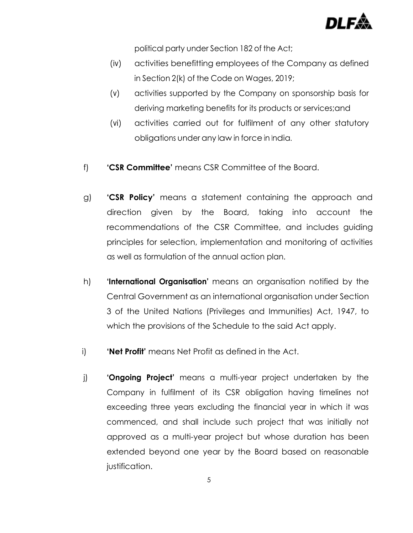

political party under Section 182 of the Act;

- (iv) activities benefitting employees of the Company as defined in Section 2(k) of the Code on Wages, 2019;
- (v) activities supported by the Company on sponsorship basis for deriving marketing benefits for its products or services;and
- (vi) activities carried out for fulfilment of any other statutory obligations under any law in force in India.
- f) **'CSR Committee'** means CSR Committee of the Board.
- g) **'CSR Policy'** means a statement containing the approach and direction given by the Board, taking into account the recommendations of the CSR Committee, and includes guiding principles for selection, implementation and monitoring of activities as well as formulation of the annual action plan.
- h) **'International Organisation'** means an organisation notified by the Central Government as an international organisation under Section 3 of the United Nations (Privileges and Immunities) Act, 1947, to which the provisions of the Schedule to the said Act apply.
- i) **'Net Profit'** means Net Profit as defined in the Act.
- j) **'Ongoing Project'** means a multi-year project undertaken by the Company in fulfilment of its CSR obligation having timelines not exceeding three years excluding the financial year in which it was commenced, and shall include such project that was initially not approved as a multi-year project but whose duration has been extended beyond one year by the Board based on reasonable justification.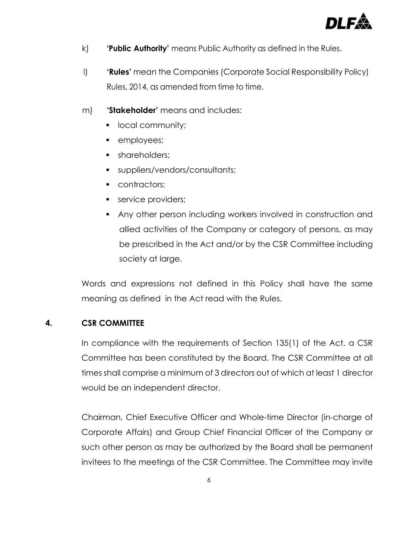

- k) **'Public Authority'** means Public Authority as defined in the Rules.
- l) **'Rules'** mean the Companies (Corporate Social Responsibility Policy) Rules, 2014, as amended from time to time.
- m) **'Stakeholder'** means and includes:
	- **I** local community;
	- **employees;**
	- **shareholders;**
	- suppliers/vendors/consultants;
	- **Contractors;**
	- service providers;
	- Any other person including workers involved in construction and allied activities of the Company or category of persons, as may be prescribed in the Act and/or by the CSR Committee including society at large.

Words and expressions not defined in this Policy shall have the same meaning as defined in the Act read with the Rules.

#### **4. CSR COMMITTEE**

In compliance with the requirements of Section 135(1) of the Act, a CSR Committee has been constituted by the Board. The CSR Committee at all times shall comprise a minimum of 3 directors out of which at least 1 director would be an independent director.

Chairman, Chief Executive Officer and Whole-time Director (in-charge of Corporate Affairs) and Group Chief Financial Officer of the Company or such other person as may be authorized by the Board shall be permanent invitees to the meetings of the CSR Committee. The Committee may invite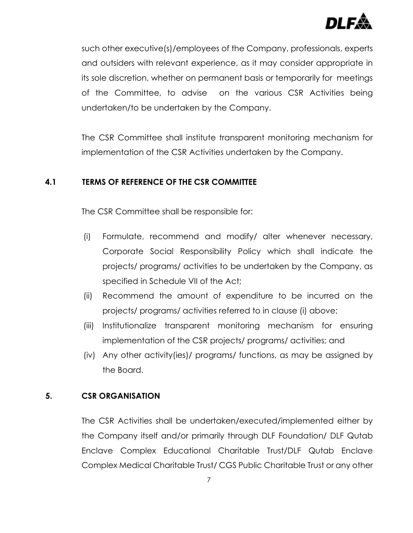

such other executive(s)/employees of the Company, professionals, experts and outsiders with relevant experience, as it may consider appropriate in its sole discretion, whether on permanent basis or temporarily for meetings of the Committee, to advise on the various CSR Activities being undertaken/to be undertaken by the Company.

The CSR Committee shall institute transparent monitoring mechanism for implementation of the CSR Activities undertaken by the Company.

#### **4.1 TERMS OF REFERENCE OF THE CSR COMMITTEE**

The CSR Committee shall be responsible for:

- (i) Formulate, recommend and modify/ alter whenever necessary, Corporate Social Responsibility Policy which shall indicate the projects/ programs/ activities to be undertaken by the Company, as specified in Schedule VII of the Act;
- (ii) Recommend the amount of expenditure to be incurred on the projects/ programs/ activities referred to in clause (i) above;
- (iii) Institutionalize transparent monitoring mechanism for ensuring implementation of the CSR projects/ programs/ activities; and
- (iv) Any other activity(ies)/ programs/ functions, as may be assigned by the Board.

#### **5. CSR ORGANISATION**

The CSR Activities shall be undertaken/executed/implemented either by the Company itself and/or primarily through DLF Foundation/ DLF Qutab Enclave Complex Educational Charitable Trust/DLF Qutab Enclave Complex Medical Charitable Trust/ CGS Public Charitable Trust or any other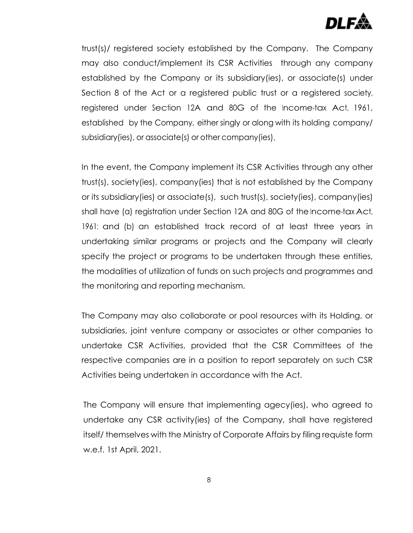

trust(s)/ registered society established by the Company. The Company may also conduct/implement its CSR Activities through any company established by the Company or its subsidiary(ies), or associate(s) under Section 8 of the Act or a registered public trust or a registered society, registered under Section 12A and 80G of the Income-tax Act, 1961, established by the Company, either singly or along with its holding company/ subsidiary(ies), or associate(s) or other company(ies).

In the event, the Company implement its CSR Activities through any other trust(s), society(ies), company(ies) that is not established by the Company or its subsidiary(ies) or associate(s), such trust(s), society(ies), company(ies) shall have (a) registration under Section 12A and 80G of the Income-tax Act, 1961; and (b) an established track record of at least three years in undertaking similar programs or projects and the Company will clearly specify the project or programs to be undertaken through these entities, the modalities of utilization of funds on such projects and programmes and the monitoring and reporting mechanism.

The Company may also collaborate or pool resources with its Holding, or subsidiaries, joint venture company or associates or other companies to undertake CSR Activities, provided that the CSR Committees of the respective companies are in a position to report separately on such CSR Activities being undertaken in accordance with the Act.

The Company will ensure that implementing agecy(ies), who agreed to undertake any CSR activity(ies) of the Company, shall have registered itself/ themselves with the Ministry of Corporate Affairs by filing requiste form w.e.f. 1st April, 2021.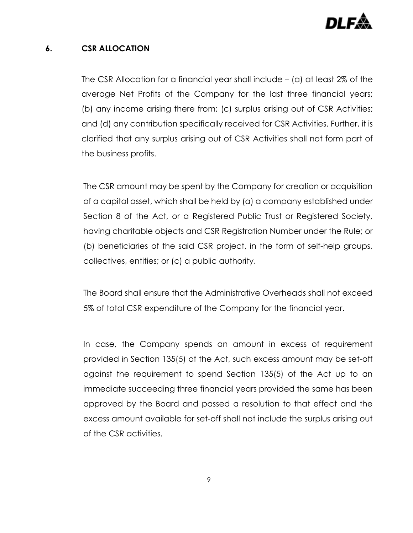

#### **6. CSR ALLOCATION**

The CSR Allocation for a financial year shall include – (a) at least 2% of the average Net Profits of the Company for the last three financial years; (b) any income arising there from; (c) surplus arising out of CSR Activities; and (d) any contribution specifically received for CSR Activities. Further, it is clarified that any surplus arising out of CSR Activities shall not form part of the business profits.

The CSR amount may be spent by the Company for creation or acquisition of a capital asset, which shall be held by (a) a company established under Section 8 of the Act, or a Registered Public Trust or Registered Society, having charitable objects and CSR Registration Number under the Rule; or (b) beneficiaries of the said CSR project, in the form of self-help groups, collectives, entities; or (c) a public authority.

The Board shall ensure that the Administrative Overheads shall not exceed 5% of total CSR expenditure of the Company for the financial year.

In case, the Company spends an amount in excess of requirement provided in Section 135(5) of the Act, such excess amount may be set-off against the requirement to spend Section 135(5) of the Act up to an immediate succeeding three financial years provided the same has been approved by the Board and passed a resolution to that effect and the excess amount available for set-off shall not include the surplus arising out of the CSR activities.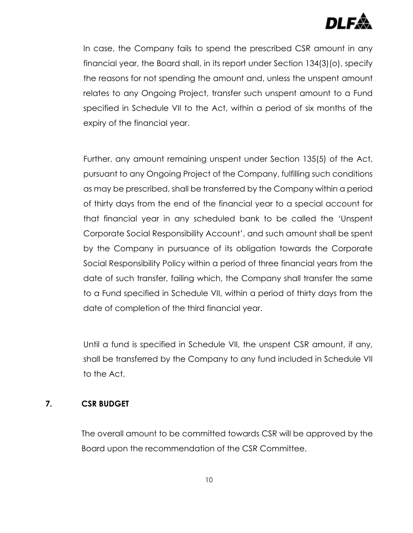

In case, the Company fails to spend the prescribed CSR amount in any financial year, the Board shall, in its report under Section 134(3)(o), specify the reasons for not spending the amount and, unless the unspent amount relates to any Ongoing Project, transfer such unspent amount to a Fund specified in Schedule VII to the Act, within a period of six months of the expiry of the financial year.

Further, any amount remaining unspent under Section 135(5) of the Act, pursuant to any Ongoing Project of the Company, fulfilling such conditions as may be prescribed, shall be transferred by the Company within a period of thirty days from the end of the financial year to a special account for that financial year in any scheduled bank to be called the 'Unspent Corporate Social Responsibility Account', and such amount shall be spent by the Company in pursuance of its obligation towards the Corporate Social Responsibility Policy within a period of three financial years from the date of such transfer, failing which, the Company shall transfer the same to a Fund specified in Schedule VII, within a period of thirty days from the date of completion of the third financial year.

Until a fund is specified in Schedule VII, the unspent CSR amount, if any, shall be transferred by the Company to any fund included in Schedule VII to the Act.

#### **7. CSR BUDGET**

The overall amount to be committed towards CSR will be approved by the Board upon the recommendation of the CSR Committee.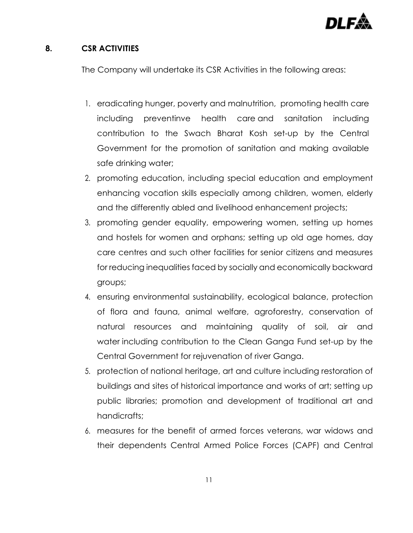

## **8. CSR ACTIVITIES**

The Company will undertake its CSR Activities in the following areas:

- 1. eradicating hunger, poverty and malnutrition, promoting health care including preventinve health care and sanitation including contribution to the Swach Bharat Kosh set-up by the Central Government for the promotion of sanitation and making available safe drinking water;
- 2. promoting education, including special education and employment enhancing vocation skills especially among children, women, elderly and the differently abled and livelihood enhancement projects;
- 3. promoting gender equality, empowering women, setting up homes and hostels for women and orphans; setting up old age homes, day care centres and such other facilities for senior citizens and measures for reducing inequalities faced by socially and economically backward groups;
- 4. ensuring environmental sustainability, ecological balance, protection of flora and fauna, animal welfare, agroforestry, conservation of natural resources and maintaining quality of soil, air and water including contribution to the Clean Ganga Fund set-up by the Central Government for rejuvenation of river Ganga.
- 5. protection of national heritage, art and culture including restoration of buildings and sites of historical importance and works of art; setting up public libraries; promotion and development of traditional art and handicrafts;
- 6. measures for the benefit of armed forces veterans, war widows and their dependents Central Armed Police Forces (CAPF) and Central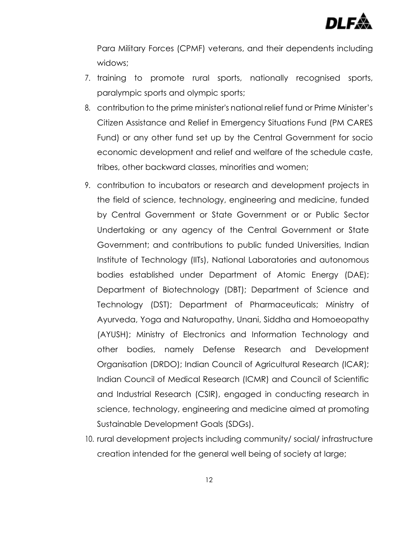

Para Military Forces (CPMF) veterans, and their dependents including widows;

- 7. training to promote rural sports, nationally recognised sports, paralympic sports and olympic sports;
- 8. contribution to the prime minister's national relief fund or Prime Minister's Citizen Assistance and Relief in Emergency Situations Fund (PM CARES Fund) or any other fund set up by the Central Government for socio economic development and relief and welfare of the schedule caste, tribes, other backward classes, minorities and women;
- 9. contribution to incubators or research and development projects in the field of science, technology, engineering and medicine, funded by Central Government or State Government or or Public Sector Undertaking or any agency of the Central Government or State Government; and contributions to public funded Universities, Indian Institute of Technology (IITs), National Laboratories and autonomous bodies established under Department of Atomic Energy (DAE); Department of Biotechnology (DBT); Department of Science and Technology (DST); Department of Pharmaceuticals; Ministry of Ayurveda, Yoga and Naturopathy, Unani, Siddha and Homoeopathy (AYUSH); Ministry of Electronics and Information Technology and other bodies, namely Defense Research and Development Organisation (DRDO); Indian Council of Agricultural Research (ICAR); Indian Council of Medical Research (ICMR) and Council of Scientific and Industrial Research (CSIR), engaged in conducting research in science, technology, engineering and medicine aimed at promoting Sustainable Development Goals (SDGs).
- 10. rural development projects including community/ social/ infrastructure creation intended for the general well being of society at large;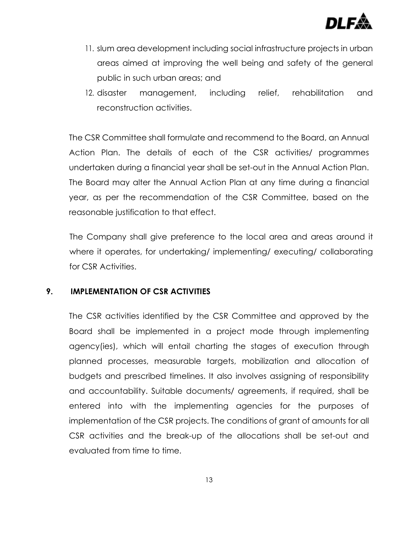

- 11. slum area development including social infrastructure projects in urban areas aimed at improving the well being and safety of the general public in such urban areas; and
- 12. disaster management, including relief, rehabilitation and reconstruction activities.

The CSR Committee shall formulate and recommend to the Board, an Annual Action Plan. The details of each of the CSR activities/ programmes undertaken during a financial year shall be set-out in the Annual Action Plan. The Board may alter the Annual Action Plan at any time during a financial year, as per the recommendation of the CSR Committee, based on the reasonable justification to that effect.

The Company shall give preference to the local area and areas around it where it operates, for undertaking/ implementing/ executing/ collaborating for CSR Activities.

#### **9. IMPLEMENTATION OF CSR ACTIVITIES**

The CSR activities identified by the CSR Committee and approved by the Board shall be implemented in a project mode through implementing agency(ies), which will entail charting the stages of execution through planned processes, measurable targets, mobilization and allocation of budgets and prescribed timelines. It also involves assigning of responsibility and accountability. Suitable documents/ agreements, if required, shall be entered into with the implementing agencies for the purposes of implementation of the CSR projects. The conditions of grant of amounts for all CSR activities and the break-up of the allocations shall be set-out and evaluated from time to time.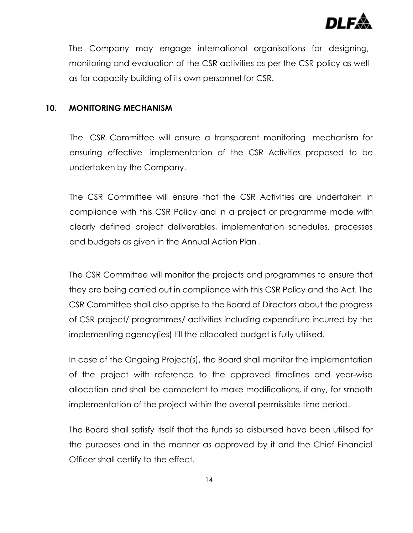

The Company may engage international organisations for designing, monitoring and evaluation of the CSR activities as per the CSR policy as well as for capacity building of its own personnel for CSR.

#### **10. MONITORING MECHANISM**

The CSR Committee will ensure a transparent monitoring mechanism for ensuring effective implementation of the CSR Activities proposed to be undertaken by the Company.

The CSR Committee will ensure that the CSR Activities are undertaken in compliance with this CSR Policy and in a project or programme mode with clearly defined project deliverables, implementation schedules, processes and budgets as given in the Annual Action Plan .

The CSR Committee will monitor the projects and programmes to ensure that they are being carried out in compliance with this CSR Policy and the Act. The CSR Committee shall also apprise to the Board of Directors about the progress of CSR project/ programmes/ activities including expenditure incurred by the implementing agency(ies) till the allocated budget is fully utilised.

In case of the Ongoing Project(s), the Board shall monitor the implementation of the project with reference to the approved timelines and year-wise allocation and shall be competent to make modifications, if any, for smooth implementation of the project within the overall permissible time period.

The Board shall satisfy itself that the funds so disbursed have been utilised for the purposes and in the manner as approved by it and the Chief Financial Officer shall certify to the effect.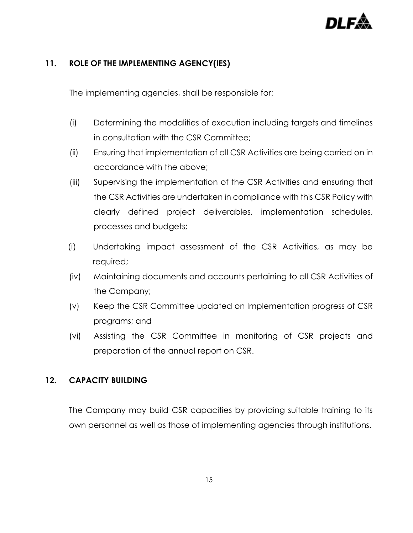

## **11. ROLE OF THE IMPLEMENTING AGENCY(IES)**

The implementing agencies, shall be responsible for:

- (i) Determining the modalities of execution including targets and timelines in consultation with the CSR Committee;
- (ii) Ensuring that implementation of all CSR Activities are being carried on in accordance with the above;
- (iii) Supervising the implementation of the CSR Activities and ensuring that the CSR Activities are undertaken in compliance with this CSR Policy with clearly defined project deliverables, implementation schedules, processes and budgets;
- (i) Undertaking impact assessment of the CSR Activities, as may be required;
- (iv) Maintaining documents and accounts pertaining to all CSR Activities of the Company;
- (v) Keep the CSR Committee updated on Implementation progress of CSR programs; and
- (vi) Assisting the CSR Committee in monitoring of CSR projects and preparation of the annual report on CSR.

## **12. CAPACITY BUILDING**

The Company may build CSR capacities by providing suitable training to its own personnel as well as those of implementing agencies through institutions.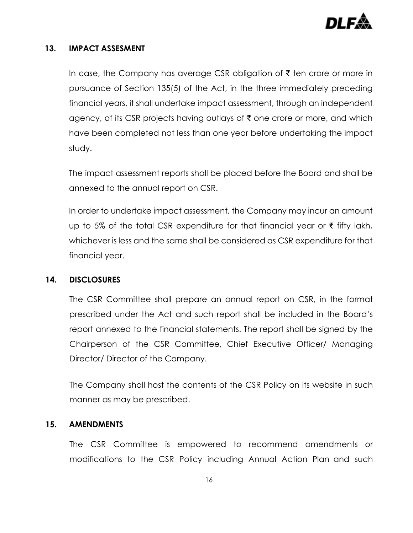

#### **13. IMPACT ASSESMENT**

In case, the Company has average CSR obligation of ₹ ten crore or more in pursuance of Section 135(5) of the Act, in the three immediately preceding financial years, it shall undertake impact assessment, through an independent agency, of its CSR projects having outlays of ₹ one crore or more, and which have been completed not less than one year before undertaking the impact study.

The impact assessment reports shall be placed before the Board and shall be annexed to the annual report on CSR.

In order to undertake impact assessment, the Company may incur an amount up to 5% of the total CSR expenditure for that financial year or ₹ fifty lakh, whichever is less and the same shall be considered as CSR expenditure for that financial year.

#### **14. DISCLOSURES**

The CSR Committee shall prepare an annual report on CSR, in the format prescribed under the Act and such report shall be included in the Board's report annexed to the financial statements. The report shall be signed by the Chairperson of the CSR Committee, Chief Executive Officer/ Managing Director/ Director of the Company.

The Company shall host the contents of the CSR Policy on its website in such manner as may be prescribed.

#### **15. AMENDMENTS**

The CSR Committee is empowered to recommend amendments or modifications to the CSR Policy including Annual Action Plan and such